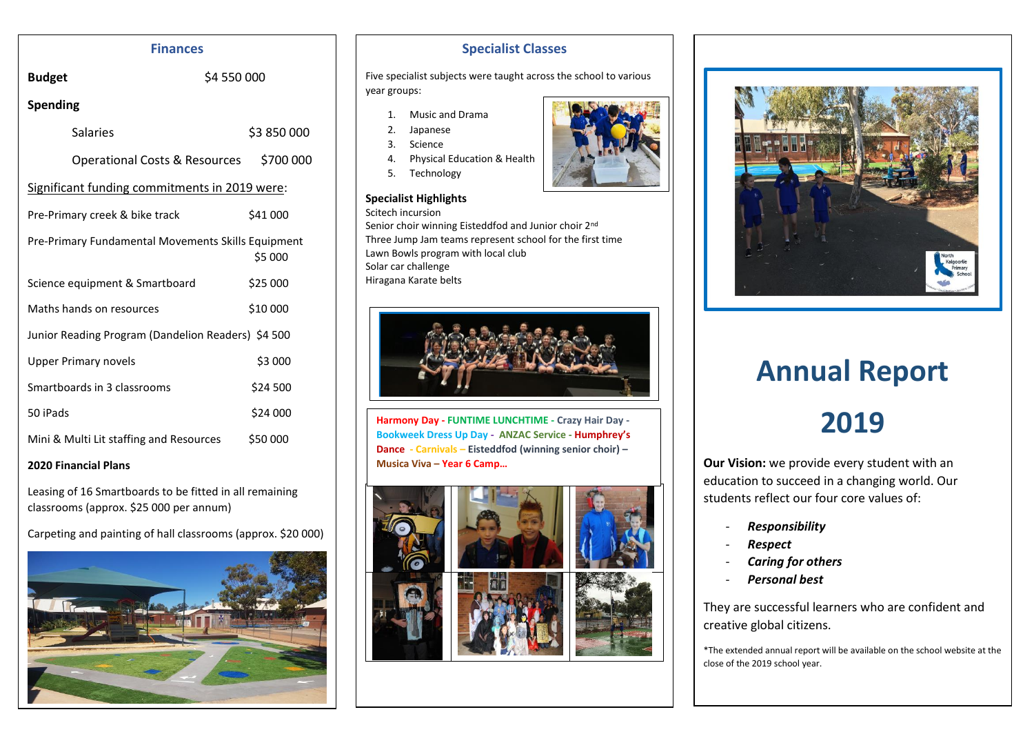## **Finances**

**Budget** \$4 550 000

# **Spending**

| <b>Salaries</b>                                    | \$3 850 000 |  |  |  |  |  |
|----------------------------------------------------|-------------|--|--|--|--|--|
| Operational Costs & Resources                      | \$700 000   |  |  |  |  |  |
| Significant funding commitments in 2019 were:      |             |  |  |  |  |  |
| Pre-Primary creek & bike track                     | \$41 000    |  |  |  |  |  |
| Pre-Primary Fundamental Movements Skills Equipment | \$5 000     |  |  |  |  |  |
| Science equipment & Smartboard                     | \$25 000    |  |  |  |  |  |
| Maths hands on resources                           | \$10 000    |  |  |  |  |  |
| Junior Reading Program (Dandelion Readers) \$4 500 |             |  |  |  |  |  |
| <b>Upper Primary novels</b>                        | \$3 000     |  |  |  |  |  |
| Smartboards in 3 classrooms                        | \$24 500    |  |  |  |  |  |
| 50 iPads                                           | \$24 000    |  |  |  |  |  |
| Mini & Multi Lit staffing and Resources            | \$50 000    |  |  |  |  |  |

## **2020 Financial Plans**

Leasing of 16 Smartboards to be fitted in all remaining classrooms (approx. \$25 000 per annum)

Carpeting and painting of hall classrooms (approx. \$20 000)



# **Specialist Classes**

Five specialist subjects were taught across the school to various year groups:

- 1. Music and Drama
- 2. Japanese
- 3. Science
- 4. Physical Education & Health
- 5. Technology

## **Specialist Highlights**

Scitech incursion Senior choir winning Eisteddfod and Junior choir 2nd Three Jump Jam teams represent school for the first time Lawn Bowls program with local club Solar car challenge Hiragana Karate belts



**Harmony Day - FUNTIME LUNCHTIME - Crazy Hair Day - Bookweek Dress Up Day - ANZAC Service - Humphrey's Dance - Carnivals – Eisteddfod (winning senior choir) – Musica Viva – Year 6 Camp…**







# **Celebrations, Highlights & Special Days 2019 Annual Report**

# **2019**

**Our Vision:** we provide every student with an education to succeed in a changing world. Our students reflect our four core values of:

- *Responsibility*
- *Respect*
- *Caring for others*
- *Personal best*

They are successful learners who are confident and creative global citizens.

\*The extended annual report will be available on the school website at the close of the 2019 school year.